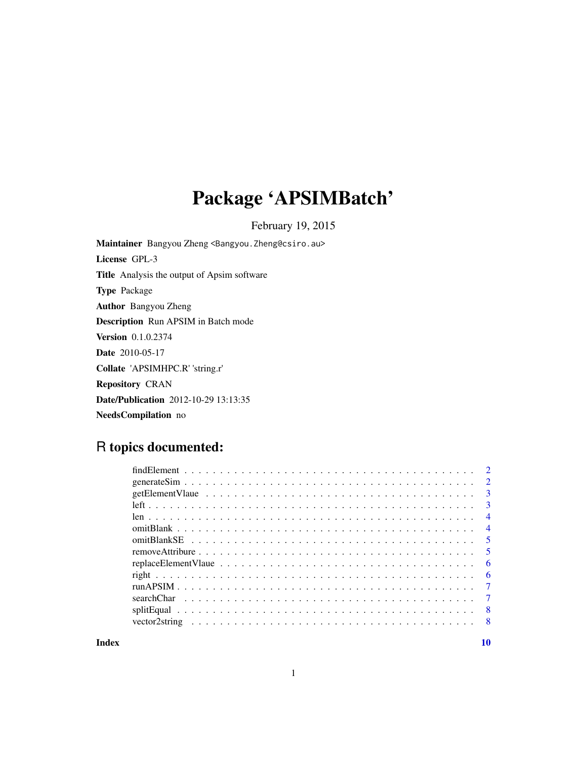## Package 'APSIMBatch'

February 19, 2015

Maintainer Bangyou Zheng <Bangyou.Zheng@csiro.au> License GPL-3 Title Analysis the output of Apsim software Type Package Author Bangyou Zheng Description Run APSIM in Batch mode Version 0.1.0.2374 Date 2010-05-17 Collate 'APSIMHPC.R' 'string.r' Repository CRAN Date/Publication 2012-10-29 13:13:35 NeedsCompilation no

## R topics documented:

| $\overline{3}$ |
|----------------|
| $\overline{4}$ |
| $\overline{4}$ |
|                |
| $\sqrt{5}$     |
| - 6            |
| - 6            |
| $\overline{7}$ |
|                |
| - 8            |
|                |
|                |

 $\blacksquare$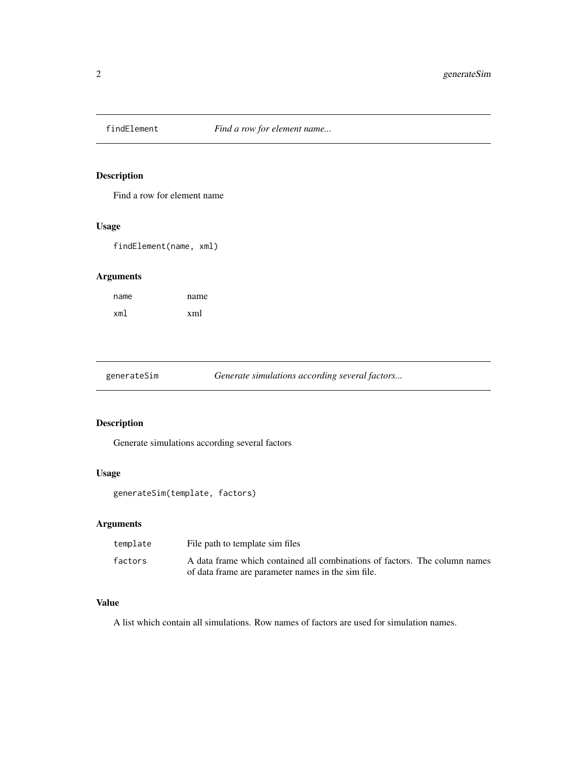<span id="page-1-0"></span>

Find a row for element name

## Usage

findElement(name, xml)

## Arguments

| name | name |
|------|------|
| xml  | xml  |

generateSim *Generate simulations according several factors...*

## Description

Generate simulations according several factors

## Usage

generateSim(template, factors)

## Arguments

| template | File path to template sim files                                            |
|----------|----------------------------------------------------------------------------|
| factors  | A data frame which contained all combinations of factors. The column names |
|          | of data frame are parameter names in the sim file.                         |

#### Value

A list which contain all simulations. Row names of factors are used for simulation names.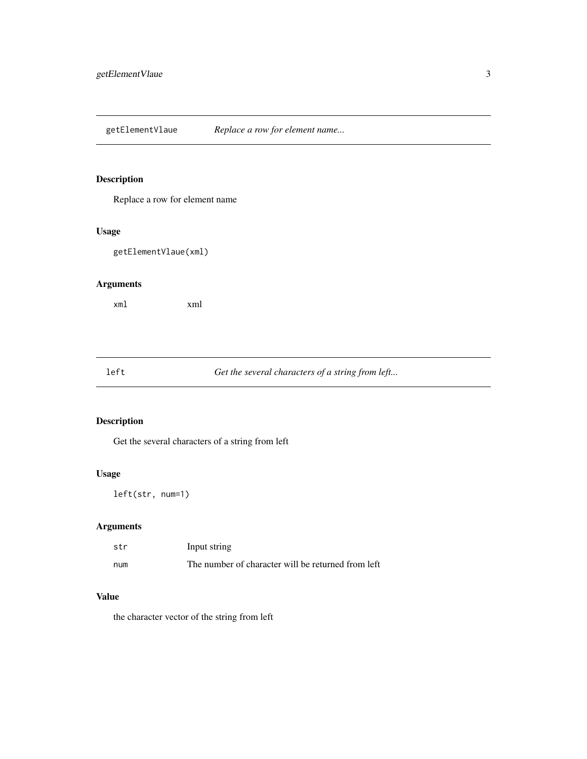<span id="page-2-0"></span>getElementVlaue *Replace a row for element name...*

## Description

Replace a row for element name

## Usage

getElementVlaue(xml)

## Arguments

xml xml

left *Get the several characters of a string from left...*

## Description

Get the several characters of a string from left

## Usage

left(str, num=1)

## Arguments

| str | Input string                                       |
|-----|----------------------------------------------------|
| num | The number of character will be returned from left |

## Value

the character vector of the string from left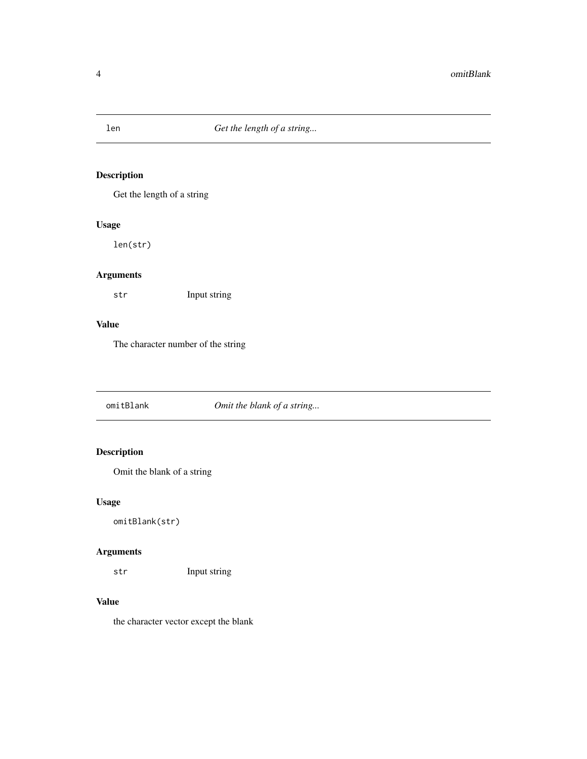<span id="page-3-0"></span>

Get the length of a string

## Usage

len(str)

## Arguments

str Input string

## Value

The character number of the string

omitBlank *Omit the blank of a string...*

## Description

Omit the blank of a string

## Usage

omitBlank(str)

## Arguments

str Input string

## Value

the character vector except the blank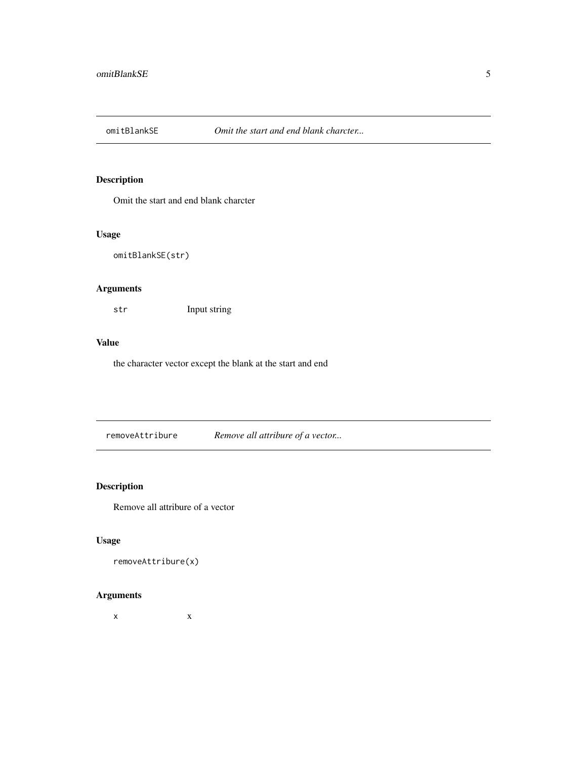<span id="page-4-0"></span>

Omit the start and end blank charcter

## Usage

omitBlankSE(str)

## Arguments

str Input string

## Value

the character vector except the blank at the start and end

removeAttribure *Remove all attribure of a vector...*

## Description

Remove all attribure of a vector

#### Usage

removeAttribure(x)

## Arguments

 $x \rightarrow x$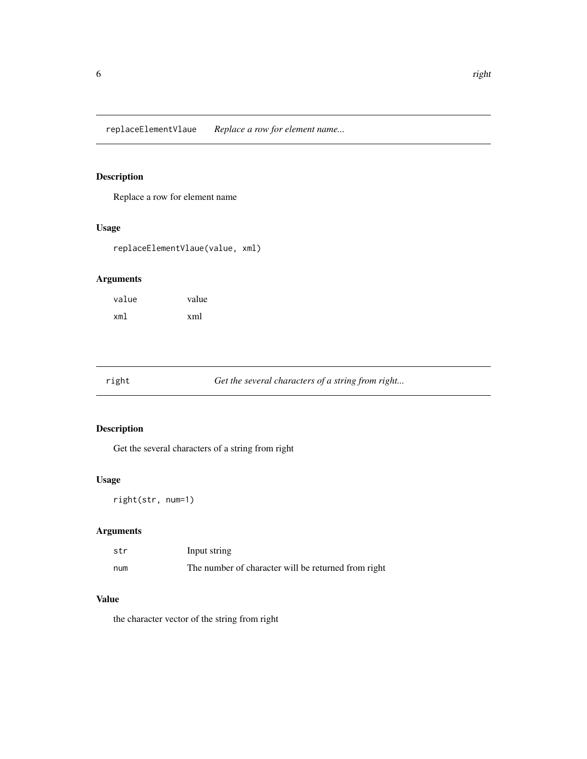<span id="page-5-0"></span>replaceElementVlaue *Replace a row for element name...*

## Description

Replace a row for element name

## Usage

replaceElementVlaue(value, xml)

## Arguments

| value | value |
|-------|-------|
| xml   | xml   |

right *Get the several characters of a string from right...*

## Description

Get the several characters of a string from right

## Usage

right(str, num=1)

## Arguments

| str | Input string                                        |
|-----|-----------------------------------------------------|
| num | The number of character will be returned from right |

## Value

the character vector of the string from right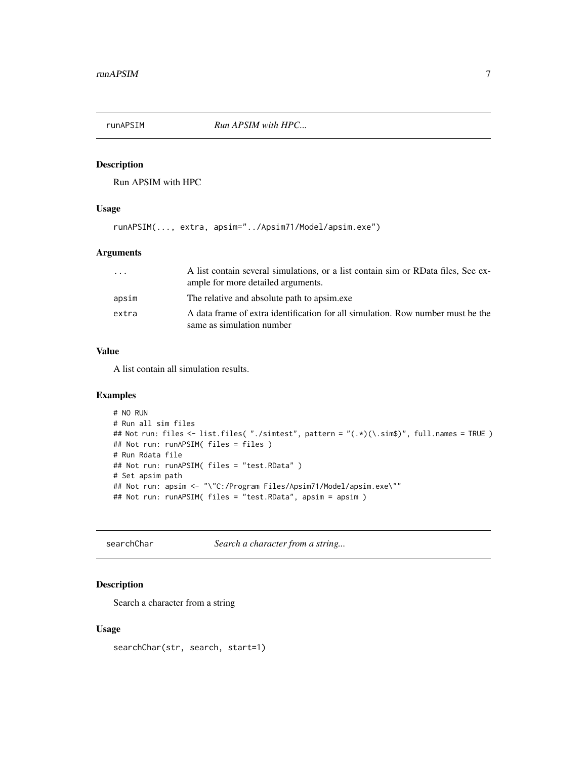<span id="page-6-0"></span>

Run APSIM with HPC

## Usage

runAPSIM(..., extra, apsim="../Apsim71/Model/apsim.exe")

#### Arguments

| $\cdots$ | A list contain several simulations, or a list contain sim or RData files, See ex-<br>ample for more detailed arguments. |
|----------|-------------------------------------------------------------------------------------------------------------------------|
| apsim    | The relative and absolute path to apsimes                                                                               |
| extra    | A data frame of extra identification for all simulation. Row number must be the<br>same as simulation number            |

#### Value

A list contain all simulation results.

## Examples

```
# NO RUN
# Run all sim files
## Not run: files <- list.files( "./simtest", pattern = "(.*)(\.sim$)", full.names = TRUE )
## Not run: runAPSIM( files = files )
# Run Rdata file
## Not run: runAPSIM( files = "test.RData" )
# Set apsim path
## Not run: apsim <- "\"C:/Program Files/Apsim71/Model/apsim.exe\""
## Not run: runAPSIM( files = "test.RData", apsim = apsim )
```
searchChar *Search a character from a string...*

## Description

Search a character from a string

#### Usage

searchChar(str, search, start=1)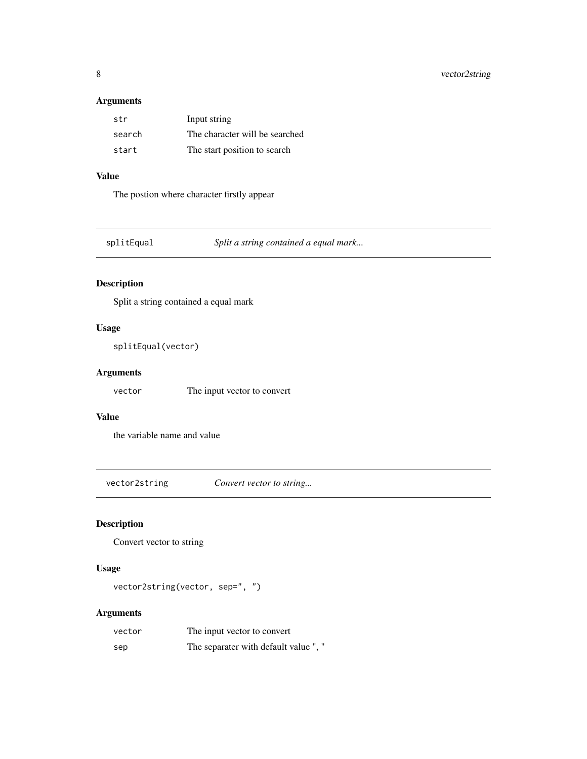## <span id="page-7-0"></span>Arguments

| str    | Input string                   |
|--------|--------------------------------|
| search | The character will be searched |
| start  | The start position to search   |

## Value

The postion where character firstly appear

splitEqual *Split a string contained a equal mark...*

## Description

Split a string contained a equal mark

#### Usage

```
splitEqual(vector)
```
## Arguments

vector The input vector to convert

## Value

the variable name and value

vector2string *Convert vector to string...*

## Description

Convert vector to string

## Usage

vector2string(vector, sep=", ")

## Arguments

| vector | The input vector to convert          |
|--------|--------------------------------------|
| sep    | The separater with default value", " |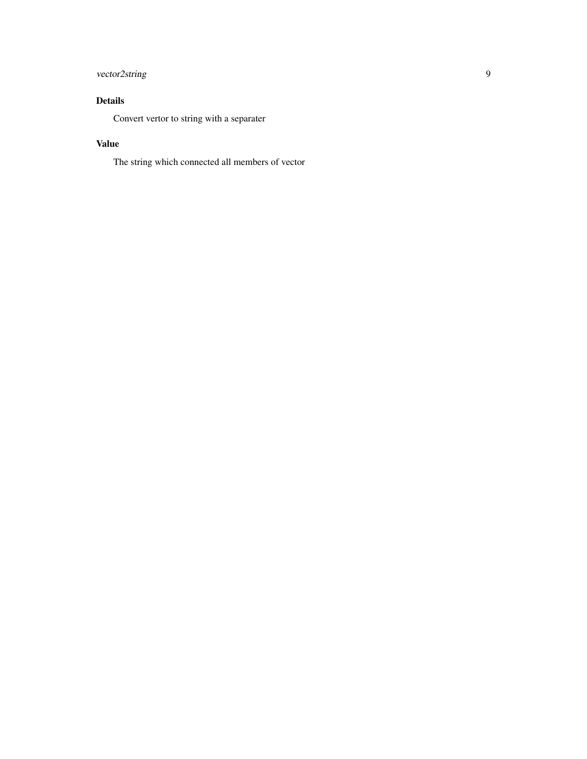## vector2string 9

## Details

Convert vertor to string with a separater

## Value

The string which connected all members of vector